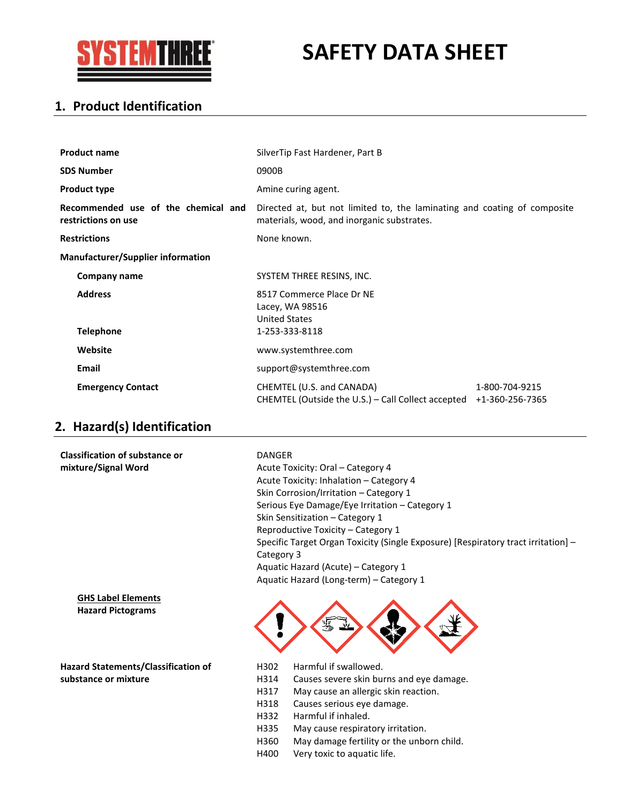

# **SAFETY DATA SHEET**

## **1. Product Identification**

| <b>Product name</b>                                        | SilverTip Fast Hardener, Part B                                                                                        |                |
|------------------------------------------------------------|------------------------------------------------------------------------------------------------------------------------|----------------|
| <b>SDS Number</b>                                          | 0900B                                                                                                                  |                |
| <b>Product type</b>                                        | Amine curing agent.                                                                                                    |                |
| Recommended use of the chemical and<br>restrictions on use | Directed at, but not limited to, the laminating and coating of composite<br>materials, wood, and inorganic substrates. |                |
| <b>Restrictions</b>                                        | None known.                                                                                                            |                |
| <b>Manufacturer/Supplier information</b>                   |                                                                                                                        |                |
| Company name                                               | SYSTEM THREE RESINS, INC.                                                                                              |                |
| <b>Address</b><br><b>Telephone</b>                         | 8517 Commerce Place Dr NE<br>Lacey, WA 98516<br><b>United States</b><br>1-253-333-8118                                 |                |
| Website                                                    | www.systemthree.com                                                                                                    |                |
| <b>Email</b>                                               | support@systemthree.com                                                                                                |                |
| <b>Emergency Contact</b>                                   | CHEMTEL (U.S. and CANADA)<br>CHEMTEL (Outside the U.S.) - Call Collect accepted +1-360-256-7365                        | 1-800-704-9215 |

## **2. Hazard(s) Identification**

| <b>Classification of substance or</b>                 | <b>DANGER</b>                                                                                   |
|-------------------------------------------------------|-------------------------------------------------------------------------------------------------|
| mixture/Signal Word                                   | Acute Toxicity: Oral – Category 4                                                               |
|                                                       | Acute Toxicity: Inhalation - Category 4                                                         |
|                                                       | Skin Corrosion/Irritation - Category 1                                                          |
|                                                       | Serious Eye Damage/Eye Irritation - Category 1                                                  |
|                                                       | Skin Sensitization - Category 1                                                                 |
|                                                       | Reproductive Toxicity – Category 1                                                              |
|                                                       | Specific Target Organ Toxicity (Single Exposure) [Respiratory tract irritation] -<br>Category 3 |
|                                                       | Aquatic Hazard (Acute) – Category 1                                                             |
|                                                       | Aquatic Hazard (Long-term) - Category 1                                                         |
| <b>GHS Label Elements</b><br><b>Hazard Pictograms</b> | 豐                                                                                               |
| <b>Hazard Statements/Classification of</b>            | Harmful if swallowed.<br>H302                                                                   |
| substance or mixture                                  | Causes severe skin burns and eye damage.<br>H314                                                |
|                                                       | H317<br>May cause an allergic skin reaction.                                                    |

- H318 Causes serious eye damage.
- H332 Harmful if inhaled.
- H335 May cause respiratory irritation.
- H360 May damage fertility or the unborn child.
- H400 Very toxic to aquatic life.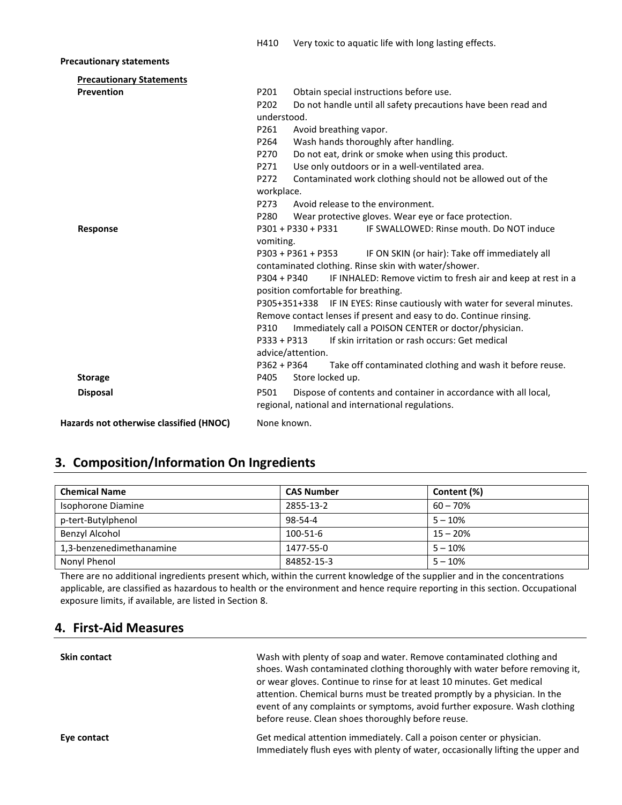### **Precautionary statements**

| <b>Precautionary Statements</b>         |                                                                               |
|-----------------------------------------|-------------------------------------------------------------------------------|
| Prevention                              | Obtain special instructions before use.<br>P201                               |
|                                         | P202<br>Do not handle until all safety precautions have been read and         |
|                                         | understood.                                                                   |
|                                         | P261<br>Avoid breathing vapor.                                                |
|                                         | Wash hands thoroughly after handling.<br>P264                                 |
|                                         | Do not eat, drink or smoke when using this product.<br>P270                   |
|                                         | Use only outdoors or in a well-ventilated area.<br>P271                       |
|                                         | Contaminated work clothing should not be allowed out of the<br>P272           |
|                                         | workplace.                                                                    |
|                                         | Avoid release to the environment.<br>P273                                     |
|                                         | P280<br>Wear protective gloves. Wear eye or face protection.                  |
| <b>Response</b>                         | $P301 + P330 + P331$<br>IF SWALLOWED: Rinse mouth, Do NOT induce              |
|                                         | vomiting.                                                                     |
|                                         | P303 + P361 + P353<br>IF ON SKIN (or hair): Take off immediately all          |
|                                         | contaminated clothing. Rinse skin with water/shower.                          |
|                                         | IF INHALED: Remove victim to fresh air and keep at rest in a<br>$P304 + P340$ |
|                                         | position comfortable for breathing.                                           |
|                                         | P305+351+338 IF IN EYES: Rinse cautiously with water for several minutes.     |
|                                         | Remove contact lenses if present and easy to do. Continue rinsing.            |
|                                         | Immediately call a POISON CENTER or doctor/physician.<br>P310                 |
|                                         | If skin irritation or rash occurs: Get medical<br>$P333 + P313$               |
|                                         | advice/attention.                                                             |
|                                         | P362 + P364<br>Take off contaminated clothing and wash it before reuse.       |
| <b>Storage</b>                          | P405<br>Store locked up.                                                      |
| <b>Disposal</b>                         | Dispose of contents and container in accordance with all local,<br>P501       |
|                                         | regional, national and international regulations.                             |
| Hazards not otherwise classified (HNOC) | None known.                                                                   |

## **3. Composition/Information On Ingredients**

| <b>Chemical Name</b>     | <b>CAS Number</b> | Content (%) |
|--------------------------|-------------------|-------------|
| Isophorone Diamine       | 2855-13-2         | $60 - 70%$  |
| p-tert-Butylphenol       | 98-54-4           | $5 - 10%$   |
| Benzyl Alcohol           | 100-51-6          | $15 - 20%$  |
| 1,3-benzenedimethanamine | 1477-55-0         | $5 - 10%$   |
| Nonyl Phenol             | 84852-15-3        | $5 - 10%$   |

There are no additional ingredients present which, within the current knowledge of the supplier and in the concentrations applicable, are classified as hazardous to health or the environment and hence require reporting in this section. Occupational exposure limits, if available, are listed in Section 8.

## **4. First-Aid Measures**

| <b>Skin contact</b> | Wash with plenty of soap and water. Remove contaminated clothing and            |
|---------------------|---------------------------------------------------------------------------------|
|                     | shoes. Wash contaminated clothing thoroughly with water before removing it,     |
|                     | or wear gloves. Continue to rinse for at least 10 minutes. Get medical          |
|                     | attention. Chemical burns must be treated promptly by a physician. In the       |
|                     | event of any complaints or symptoms, avoid further exposure. Wash clothing      |
|                     | before reuse. Clean shoes thoroughly before reuse.                              |
| Eye contact         | Get medical attention immediately. Call a poison center or physician.           |
|                     | Immediately flush eyes with plenty of water, occasionally lifting the upper and |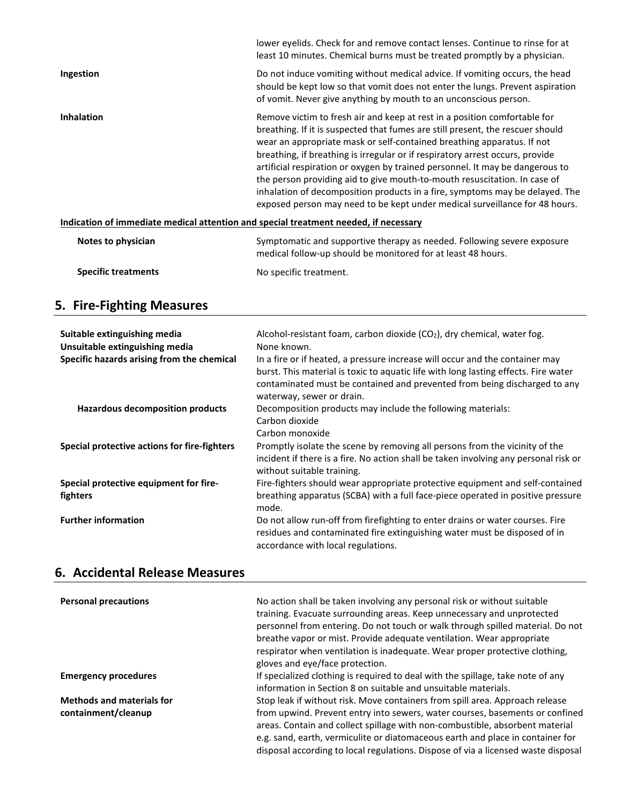|                   | lower evelids. Check for and remove contact lenses. Continue to rinse for at<br>least 10 minutes. Chemical burns must be treated promptly by a physician.                                                                                                                                                                                                                                                                                                                                                                                                                                                                                           |
|-------------------|-----------------------------------------------------------------------------------------------------------------------------------------------------------------------------------------------------------------------------------------------------------------------------------------------------------------------------------------------------------------------------------------------------------------------------------------------------------------------------------------------------------------------------------------------------------------------------------------------------------------------------------------------------|
| Ingestion         | Do not induce vomiting without medical advice. If vomiting occurs, the head<br>should be kept low so that vomit does not enter the lungs. Prevent aspiration<br>of vomit. Never give anything by mouth to an unconscious person.                                                                                                                                                                                                                                                                                                                                                                                                                    |
| <b>Inhalation</b> | Remove victim to fresh air and keep at rest in a position comfortable for<br>breathing. If it is suspected that fumes are still present, the rescuer should<br>wear an appropriate mask or self-contained breathing apparatus. If not<br>breathing, if breathing is irregular or if respiratory arrest occurs, provide<br>artificial respiration or oxygen by trained personnel. It may be dangerous to<br>the person providing aid to give mouth-to-mouth resuscitation. In case of<br>inhalation of decomposition products in a fire, symptoms may be delayed. The<br>exposed person may need to be kept under medical surveillance for 48 hours. |
|                   | Indication of immediate medical attention and special treatment needed, if necessary                                                                                                                                                                                                                                                                                                                                                                                                                                                                                                                                                                |

| Notes to physician         | Symptomatic and supportive therapy as needed. Following severe exposure<br>medical follow-up should be monitored for at least 48 hours. |
|----------------------------|-----------------------------------------------------------------------------------------------------------------------------------------|
| <b>Specific treatments</b> | No specific treatment.                                                                                                                  |

## **5. Fire-Fighting Measures**

| Suitable extinguishing media<br>Unsuitable extinguishing media<br>Specific hazards arising from the chemical | Alcohol-resistant foam, carbon dioxide $(CO2)$ , dry chemical, water fog.<br>None known.<br>In a fire or if heated, a pressure increase will occur and the container may<br>burst. This material is toxic to aquatic life with long lasting effects. Fire water<br>contaminated must be contained and prevented from being discharged to any<br>waterway, sewer or drain. |
|--------------------------------------------------------------------------------------------------------------|---------------------------------------------------------------------------------------------------------------------------------------------------------------------------------------------------------------------------------------------------------------------------------------------------------------------------------------------------------------------------|
| Hazardous decomposition products                                                                             | Decomposition products may include the following materials:<br>Carbon dioxide<br>Carbon monoxide                                                                                                                                                                                                                                                                          |
| Special protective actions for fire-fighters                                                                 | Promptly isolate the scene by removing all persons from the vicinity of the<br>incident if there is a fire. No action shall be taken involving any personal risk or<br>without suitable training.                                                                                                                                                                         |
| Special protective equipment for fire-<br>fighters                                                           | Fire-fighters should wear appropriate protective equipment and self-contained<br>breathing apparatus (SCBA) with a full face-piece operated in positive pressure<br>mode.                                                                                                                                                                                                 |
| <b>Further information</b>                                                                                   | Do not allow run-off from firefighting to enter drains or water courses. Fire<br>residues and contaminated fire extinguishing water must be disposed of in<br>accordance with local regulations.                                                                                                                                                                          |

## **6. Accidental Release Measures**

| <b>Personal precautions</b>                             | No action shall be taken involving any personal risk or without suitable<br>training. Evacuate surrounding areas. Keep unnecessary and unprotected<br>personnel from entering. Do not touch or walk through spilled material. Do not<br>breathe vapor or mist. Provide adequate ventilation. Wear appropriate<br>respirator when ventilation is inadequate. Wear proper protective clothing,<br>gloves and eye/face protection. |
|---------------------------------------------------------|---------------------------------------------------------------------------------------------------------------------------------------------------------------------------------------------------------------------------------------------------------------------------------------------------------------------------------------------------------------------------------------------------------------------------------|
| <b>Emergency procedures</b>                             | If specialized clothing is required to deal with the spillage, take note of any<br>information in Section 8 on suitable and unsuitable materials.                                                                                                                                                                                                                                                                               |
| <b>Methods and materials for</b><br>containment/cleanup | Stop leak if without risk. Move containers from spill area. Approach release<br>from upwind. Prevent entry into sewers, water courses, basements or confined<br>areas. Contain and collect spillage with non-combustible, absorbent material                                                                                                                                                                                    |
|                                                         | e.g. sand, earth, vermiculite or diatomaceous earth and place in container for<br>disposal according to local regulations. Dispose of via a licensed waste disposal                                                                                                                                                                                                                                                             |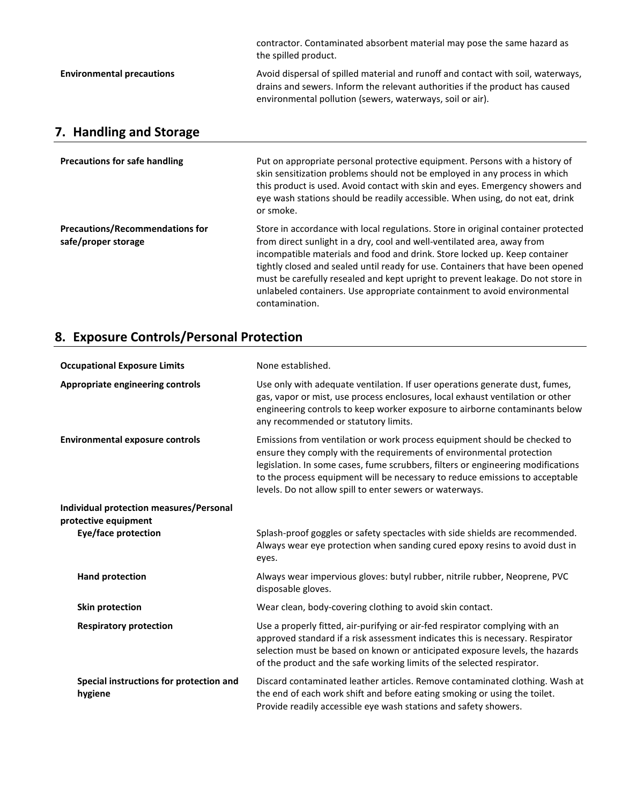|                                  | contractor. Contaminated absorbent material may pose the same hazard as<br>the spilled product.                                                                                                                               |
|----------------------------------|-------------------------------------------------------------------------------------------------------------------------------------------------------------------------------------------------------------------------------|
| <b>Environmental precautions</b> | Avoid dispersal of spilled material and runoff and contact with soil, waterways,<br>drains and sewers. Inform the relevant authorities if the product has caused<br>environmental pollution (sewers, waterways, soil or air). |

## **7. Handling and Storage**

| <b>Precautions for safe handling</b>                          | Put on appropriate personal protective equipment. Persons with a history of<br>skin sensitization problems should not be employed in any process in which<br>this product is used. Avoid contact with skin and eyes. Emergency showers and<br>eye wash stations should be readily accessible. When using, do not eat, drink<br>or smoke.                                                                                                                                                                       |
|---------------------------------------------------------------|----------------------------------------------------------------------------------------------------------------------------------------------------------------------------------------------------------------------------------------------------------------------------------------------------------------------------------------------------------------------------------------------------------------------------------------------------------------------------------------------------------------|
| <b>Precautions/Recommendations for</b><br>safe/proper storage | Store in accordance with local regulations. Store in original container protected<br>from direct sunlight in a dry, cool and well-ventilated area, away from<br>incompatible materials and food and drink. Store locked up. Keep container<br>tightly closed and sealed until ready for use. Containers that have been opened<br>must be carefully resealed and kept upright to prevent leakage. Do not store in<br>unlabeled containers. Use appropriate containment to avoid environmental<br>contamination. |

## **8. Exposure Controls/Personal Protection**

| <b>Occupational Exposure Limits</b>                | None established.                                                                                                                                                                                                                                                                                                                                                                 |
|----------------------------------------------------|-----------------------------------------------------------------------------------------------------------------------------------------------------------------------------------------------------------------------------------------------------------------------------------------------------------------------------------------------------------------------------------|
| Appropriate engineering controls                   | Use only with adequate ventilation. If user operations generate dust, fumes,<br>gas, vapor or mist, use process enclosures, local exhaust ventilation or other<br>engineering controls to keep worker exposure to airborne contaminants below<br>any recommended or statutory limits.                                                                                             |
| <b>Environmental exposure controls</b>             | Emissions from ventilation or work process equipment should be checked to<br>ensure they comply with the requirements of environmental protection<br>legislation. In some cases, fume scrubbers, filters or engineering modifications<br>to the process equipment will be necessary to reduce emissions to acceptable<br>levels. Do not allow spill to enter sewers or waterways. |
| Individual protection measures/Personal            |                                                                                                                                                                                                                                                                                                                                                                                   |
| protective equipment                               |                                                                                                                                                                                                                                                                                                                                                                                   |
| <b>Eye/face protection</b>                         | Splash-proof goggles or safety spectacles with side shields are recommended.<br>Always wear eye protection when sanding cured epoxy resins to avoid dust in<br>eyes.                                                                                                                                                                                                              |
| <b>Hand protection</b>                             | Always wear impervious gloves: butyl rubber, nitrile rubber, Neoprene, PVC<br>disposable gloves.                                                                                                                                                                                                                                                                                  |
| <b>Skin protection</b>                             | Wear clean, body-covering clothing to avoid skin contact.                                                                                                                                                                                                                                                                                                                         |
| <b>Respiratory protection</b>                      | Use a properly fitted, air-purifying or air-fed respirator complying with an<br>approved standard if a risk assessment indicates this is necessary. Respirator<br>selection must be based on known or anticipated exposure levels, the hazards<br>of the product and the safe working limits of the selected respirator.                                                          |
| Special instructions for protection and<br>hygiene | Discard contaminated leather articles. Remove contaminated clothing. Wash at<br>the end of each work shift and before eating smoking or using the toilet.<br>Provide readily accessible eye wash stations and safety showers.                                                                                                                                                     |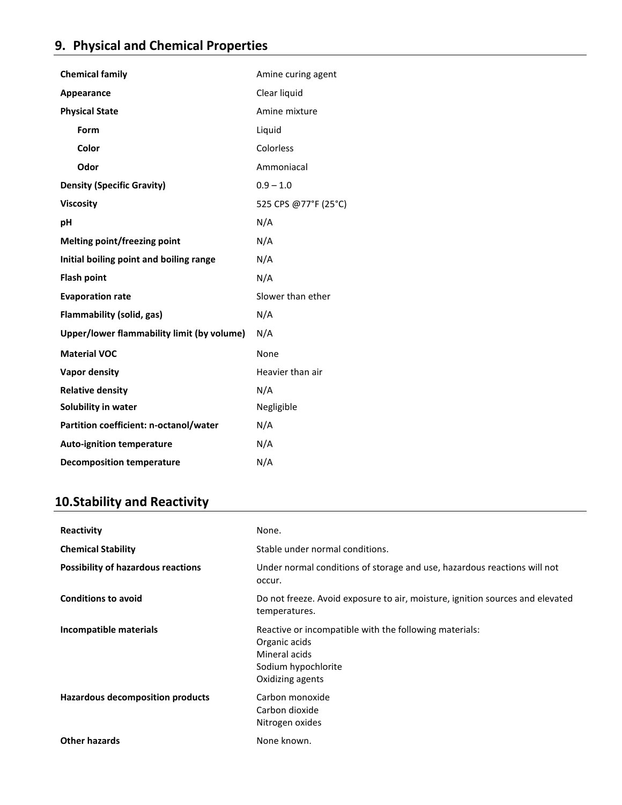| <b>Chemical family</b>                     | Amine curing agent   |
|--------------------------------------------|----------------------|
| <b>Appearance</b>                          | Clear liquid         |
| <b>Physical State</b>                      | Amine mixture        |
| Form                                       | Liquid               |
| Color                                      | Colorless            |
| Odor                                       | Ammoniacal           |
| <b>Density (Specific Gravity)</b>          | $0.9 - 1.0$          |
| <b>Viscosity</b>                           | 525 CPS @77°F (25°C) |
| рH                                         | N/A                  |
| <b>Melting point/freezing point</b>        | N/A                  |
| Initial boiling point and boiling range    | N/A                  |
| <b>Flash point</b>                         | N/A                  |
| <b>Evaporation rate</b>                    | Slower than ether    |
| <b>Flammability (solid, gas)</b>           | N/A                  |
| Upper/lower flammability limit (by volume) | N/A                  |
| <b>Material VOC</b>                        | None                 |
| Vapor density                              | Heavier than air     |
| <b>Relative density</b>                    | N/A                  |
| Solubility in water                        | Negligible           |
| Partition coefficient: n-octanol/water     | N/A                  |
| <b>Auto-ignition temperature</b>           | N/A                  |
| <b>Decomposition temperature</b>           | N/A                  |

## **10.Stability and Reactivity**

| Reactivity                                | None.                                                                                                                               |
|-------------------------------------------|-------------------------------------------------------------------------------------------------------------------------------------|
| <b>Chemical Stability</b>                 | Stable under normal conditions.                                                                                                     |
| <b>Possibility of hazardous reactions</b> | Under normal conditions of storage and use, hazardous reactions will not<br>occur.                                                  |
| <b>Conditions to avoid</b>                | Do not freeze. Avoid exposure to air, moisture, ignition sources and elevated<br>temperatures.                                      |
| Incompatible materials                    | Reactive or incompatible with the following materials:<br>Organic acids<br>Mineral acids<br>Sodium hypochlorite<br>Oxidizing agents |
| Hazardous decomposition products          | Carbon monoxide<br>Carbon dioxide<br>Nitrogen oxides                                                                                |
| <b>Other hazards</b>                      | None known.                                                                                                                         |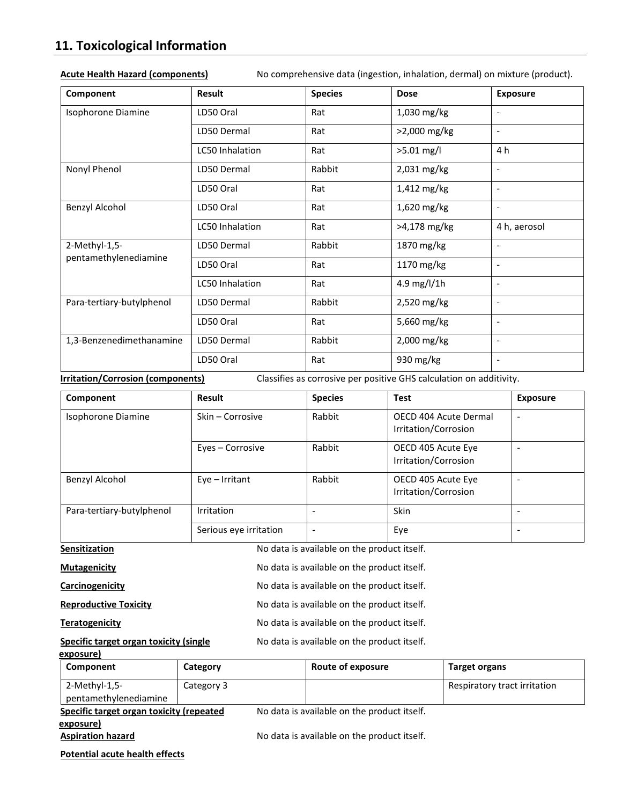## **11. Toxicological Information**

| Component                 | Result          | <b>Species</b> | <b>Dose</b>  | <b>Exposure</b>          |
|---------------------------|-----------------|----------------|--------------|--------------------------|
| Isophorone Diamine        | LD50 Oral       | Rat            | 1,030 mg/kg  | $\overline{\phantom{a}}$ |
|                           | LD50 Dermal     | Rat            | >2,000 mg/kg | $\overline{\phantom{a}}$ |
|                           | LC50 Inhalation | Rat            | $>5.01$ mg/l | 4 h                      |
| Nonyl Phenol              | LD50 Dermal     | Rabbit         | 2,031 mg/kg  | $\overline{\phantom{a}}$ |
|                           | LD50 Oral       | Rat            | 1,412 mg/kg  | $\overline{\phantom{a}}$ |
| Benzyl Alcohol            | LD50 Oral       | Rat            | 1,620 mg/kg  | $\overline{\phantom{a}}$ |
|                           | LC50 Inhalation | Rat            | >4,178 mg/kg | 4 h, aerosol             |
| 2-Methyl-1,5-             | LD50 Dermal     | Rabbit         | 1870 mg/kg   | $\overline{\phantom{a}}$ |
| pentamethylenediamine     | LD50 Oral       | Rat            | 1170 mg/kg   | $\overline{\phantom{a}}$ |
|                           | LC50 Inhalation | Rat            | 4.9 mg/l/1h  | $\overline{\phantom{a}}$ |
| Para-tertiary-butylphenol | LD50 Dermal     | Rabbit         | 2,520 mg/kg  | $\overline{\phantom{a}}$ |
|                           | LD50 Oral       | Rat            | 5,660 mg/kg  | $\overline{\phantom{a}}$ |
| 1,3-Benzenedimethanamine  | LD50 Dermal     | Rabbit         | 2,000 mg/kg  | $\overline{\phantom{a}}$ |
|                           | LD50 Oral       | Rat            | 930 mg/kg    | $\overline{\phantom{a}}$ |

**Acute Health Hazard (components)** No comprehensive data (ingestion, inhalation, dermal) on mixture (product).

**Irritation/Corrosion (components)** Classifies as corrosive per positive GHS calculation on additivity.

| Component                 | <b>Result</b>          | <b>Species</b> | <b>Test</b>                                   | <b>Exposure</b> |
|---------------------------|------------------------|----------------|-----------------------------------------------|-----------------|
| Isophorone Diamine        | Skin – Corrosive       | Rabbit         | OECD 404 Acute Dermal<br>Irritation/Corrosion | ٠               |
|                           | Eyes - Corrosive       | Rabbit         | OECD 405 Acute Eye<br>Irritation/Corrosion    |                 |
| Benzyl Alcohol            | $Eye - Irritant$       | Rabbit         | OECD 405 Acute Eye<br>Irritation/Corrosion    |                 |
| Para-tertiary-butylphenol | Irritation             |                | Skin                                          |                 |
|                           | Serious eye irritation |                | Eye                                           |                 |

| <b>Sensitization</b>                   | No data is available on the product itself. |
|----------------------------------------|---------------------------------------------|
| <b>Mutagenicity</b>                    | No data is available on the product itself. |
| Carcinogenicity                        | No data is available on the product itself. |
| <b>Reproductive Toxicity</b>           | No data is available on the product itself. |
| Teratogenicity                         | No data is available on the product itself. |
| Specific target organ toxicity (single | No data is available on the product itself. |

| exposure)                                     |            |                                             |                              |
|-----------------------------------------------|------------|---------------------------------------------|------------------------------|
| Component                                     | Category   | Route of exposure                           | <b>Target organs</b>         |
| 2-Methyl-1,5-<br>pentamethylenediamine        | Category 3 |                                             | Respiratory tract irritation |
| Specific target organ toxicity (repeated      |            | No data is available on the product itself. |                              |
| <u>exposur</u> e)<br><b>Aspiration hazard</b> |            | No data is available on the product itself. |                              |
| <b>Potential acute health effects</b>         |            |                                             |                              |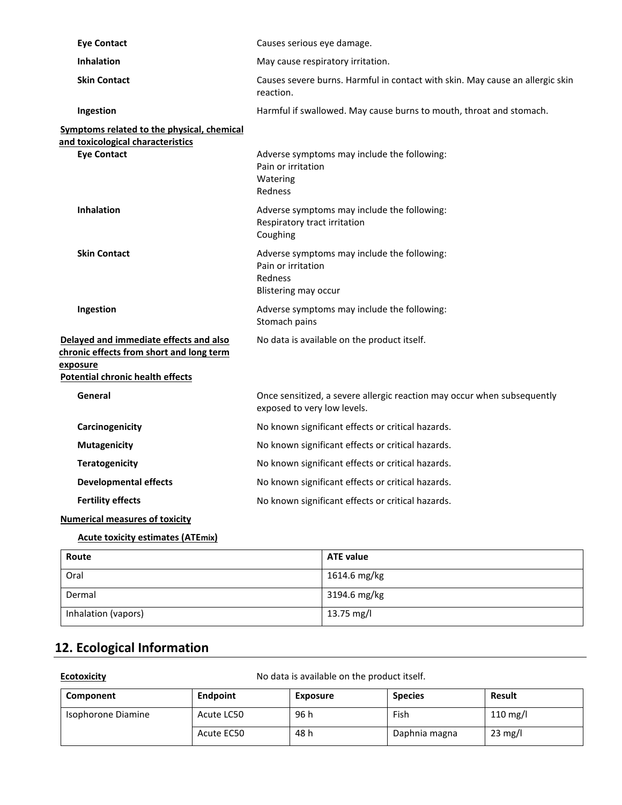| <b>Eye Contact</b>                                                                                                                        | Causes serious eye damage.                                                                                  |
|-------------------------------------------------------------------------------------------------------------------------------------------|-------------------------------------------------------------------------------------------------------------|
| <b>Inhalation</b>                                                                                                                         | May cause respiratory irritation.                                                                           |
| <b>Skin Contact</b>                                                                                                                       | Causes severe burns. Harmful in contact with skin. May cause an allergic skin<br>reaction.                  |
| Ingestion                                                                                                                                 | Harmful if swallowed. May cause burns to mouth, throat and stomach.                                         |
| Symptoms related to the physical, chemical                                                                                                |                                                                                                             |
| and toxicological characteristics<br><b>Eye Contact</b>                                                                                   | Adverse symptoms may include the following:<br>Pain or irritation<br>Watering<br>Redness                    |
| <b>Inhalation</b>                                                                                                                         | Adverse symptoms may include the following:<br>Respiratory tract irritation<br>Coughing                     |
| <b>Skin Contact</b>                                                                                                                       | Adverse symptoms may include the following:<br>Pain or irritation<br>Redness<br><b>Blistering may occur</b> |
| Ingestion                                                                                                                                 | Adverse symptoms may include the following:<br>Stomach pains                                                |
| Delayed and immediate effects and also<br>chronic effects from short and long term<br>exposure<br><b>Potential chronic health effects</b> | No data is available on the product itself.                                                                 |
| General                                                                                                                                   | Once sensitized, a severe allergic reaction may occur when subsequently<br>exposed to very low levels.      |
| Carcinogenicity                                                                                                                           | No known significant effects or critical hazards.                                                           |
| <b>Mutagenicity</b>                                                                                                                       | No known significant effects or critical hazards.                                                           |
| <b>Teratogenicity</b>                                                                                                                     | No known significant effects or critical hazards.                                                           |
| <b>Developmental effects</b>                                                                                                              | No known significant effects or critical hazards.                                                           |
| <b>Fertility effects</b>                                                                                                                  | No known significant effects or critical hazards.                                                           |
| <b>Numerical measures of toxicity</b>                                                                                                     |                                                                                                             |

### **Acute toxicity estimates (ATEmix)**

| Route               | <b>ATE value</b> |
|---------------------|------------------|
| Oral                | 1614.6 mg/kg     |
| Dermal              | 3194.6 mg/kg     |
| Inhalation (vapors) | 13.75 mg/l       |

## **12. Ecological Information**

**Ecotoxicity Example 20 III Allegate Constrainers** No data is available on the product itself.

| Component          | Endpoint   | <b>Exposure</b> | <b>Species</b> | <b>Result</b>      |
|--------------------|------------|-----------------|----------------|--------------------|
| Isophorone Diamine | Acute LC50 | 96 h            | Fish           | $110 \text{ mg/l}$ |
|                    | Acute EC50 | 48 h            | Daphnia magna  | $23 \text{ mg/l}$  |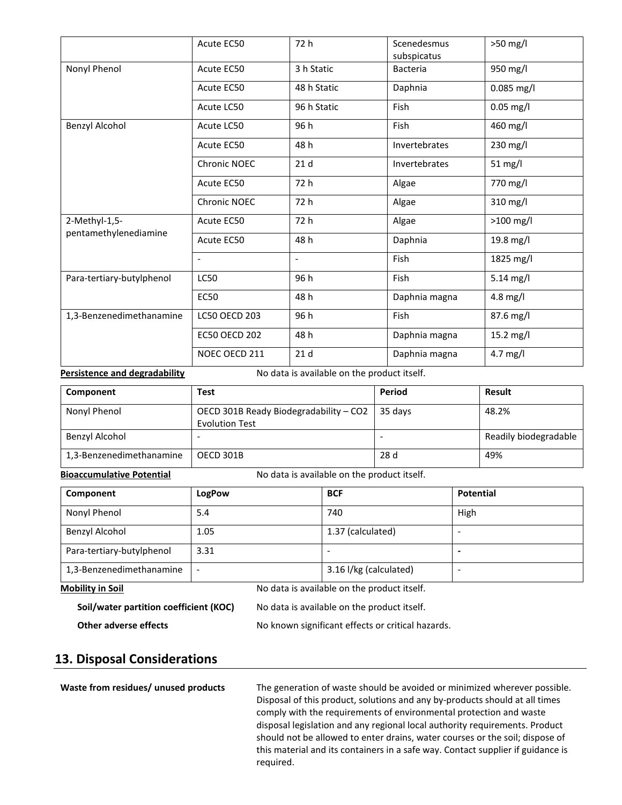|                           | Acute EC50               | 72 h                     | Scenedesmus<br>subspicatus | $>50$ mg/l        |
|---------------------------|--------------------------|--------------------------|----------------------------|-------------------|
| Nonyl Phenol              | Acute EC50               | 3 h Static               | <b>Bacteria</b>            | 950 mg/l          |
|                           | Acute EC50               | 48 h Static              | Daphnia                    | $0.085$ mg/l      |
|                           | Acute LC50               | 96 h Static              | Fish                       | $0.05$ mg/l       |
| Benzyl Alcohol            | Acute LC50               | 96 h                     | Fish                       | 460 mg/l          |
|                           | Acute EC50               | 48 h                     | Invertebrates              | 230 mg/l          |
|                           | Chronic NOEC             | 21d                      | Invertebrates              | $51 \text{ mg/l}$ |
|                           | Acute EC50               | 72 h                     | Algae                      | 770 mg/l          |
|                           | Chronic NOEC             | 72 h                     | Algae                      | 310 mg/l          |
| 2-Methyl-1,5-             | Acute EC50               | 72 h                     | Algae                      | $>100$ mg/l       |
| pentamethylenediamine     | Acute EC50               | 48 h                     | Daphnia                    | 19.8 mg/l         |
|                           | $\overline{\phantom{a}}$ | $\overline{\phantom{a}}$ | <b>Fish</b>                | 1825 mg/l         |
| Para-tertiary-butylphenol | <b>LC50</b>              | 96 h                     | Fish                       | $5.14$ mg/l       |
|                           | <b>EC50</b>              | 48 h                     | Daphnia magna              | 4.8 mg/l          |
| 1,3-Benzenedimethanamine  | <b>LC50 OECD 203</b>     | 96 h                     | Fish                       | 87.6 mg/l         |
|                           | <b>EC50 OECD 202</b>     | 48 h                     | Daphnia magna              | 15.2 mg/l         |
|                           | NOEC OECD 211            | 21 <sub>d</sub>          | Daphnia magna              | 4.7 mg/l          |

**Persistence and degradability** No data is available on the product itself.

| Component                | Test                                   | Period  | <b>Result</b>         |
|--------------------------|----------------------------------------|---------|-----------------------|
| Nonyl Phenol             | OECD 301B Ready Biodegradability - CO2 | 35 davs | 48.2%                 |
|                          | <b>Evolution Test</b>                  |         |                       |
| Benzyl Alcohol           |                                        |         | Readily biodegradable |
| 1,3-Benzenedimethanamine | OECD 301B                              | 28 d    | 49%                   |

**Bioaccumulative Potential** No data is available on the product itself.

| Component                 | LogPow | <b>BCF</b>             | <b>Potential</b> |
|---------------------------|--------|------------------------|------------------|
| Nonyl Phenol              | 5.4    | 740                    | High             |
| Benzyl Alcohol            | 1.05   | 1.37 (calculated)      | -                |
| Para-tertiary-butylphenol | 3.31   |                        |                  |
| 1,3-Benzenedimethanamine  |        | 3.16 l/kg (calculated) |                  |

**Mobility in Soil** No data is available on the product itself.

**Soil/water partition coefficient (KOC)** No data is available on the product itself.

## No known significant effects or critical hazards.

### **13. Disposal Considerations**

**Waste from residues/ unused products** The generation of waste should be avoided or minimized wherever possible. Disposal of this product, solutions and any by-products should at all times comply with the requirements of environmental protection and waste disposal legislation and any regional local authority requirements. Product should not be allowed to enter drains, water courses or the soil; dispose of this material and its containers in a safe way. Contact supplier if guidance is required.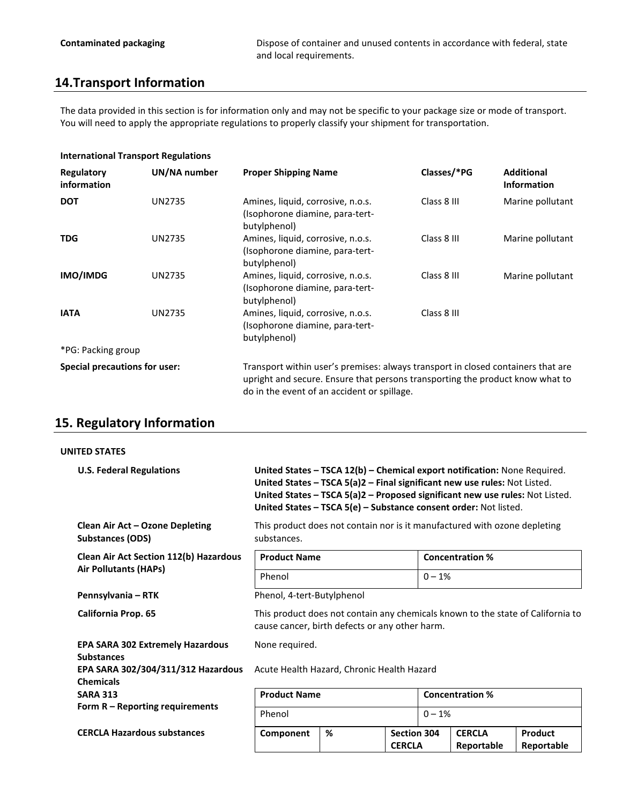### **14.Transport Information**

The data provided in this section is for information only and may not be specific to your package size or mode of transport. You will need to apply the appropriate regulations to properly classify your shipment for transportation.

### **International Transport Regulations**

| Regulatory<br>information            | UN/NA number  | <b>Proper Shipping Name</b>                                                                                                                                                                                      | Classes/*PG | <b>Additional</b><br><b>Information</b> |
|--------------------------------------|---------------|------------------------------------------------------------------------------------------------------------------------------------------------------------------------------------------------------------------|-------------|-----------------------------------------|
| <b>DOT</b>                           | <b>UN2735</b> | Amines, liquid, corrosive, n.o.s.<br>(Isophorone diamine, para-tert-<br>butylphenol)                                                                                                                             | Class 8 III | Marine pollutant                        |
| <b>TDG</b>                           | <b>UN2735</b> | Amines, liquid, corrosive, n.o.s.<br>(Isophorone diamine, para-tert-<br>butylphenol)                                                                                                                             | Class 8 III | Marine pollutant                        |
| IMO/IMDG                             | <b>UN2735</b> | Amines, liquid, corrosive, n.o.s.<br>(Isophorone diamine, para-tert-<br>butylphenol)                                                                                                                             | Class 8 III | Marine pollutant                        |
| <b>IATA</b>                          | <b>UN2735</b> | Amines, liquid, corrosive, n.o.s.<br>(Isophorone diamine, para-tert-<br>butylphenol)                                                                                                                             | Class 8 III |                                         |
| *PG: Packing group                   |               |                                                                                                                                                                                                                  |             |                                         |
| <b>Special precautions for user:</b> |               | Transport within user's premises: always transport in closed containers that are<br>upright and secure. Ensure that persons transporting the product know what to<br>do in the event of an accident or spillage. |             |                                         |

### **15. Regulatory Information**

### **UNITED STATES**

| <b>U.S. Federal Regulations</b>                              | United States - TSCA 12(b) - Chemical export notification: None Required.<br>United States - TSCA 5(a)2 - Final significant new use rules: Not Listed.<br>United States - TSCA 5(a)2 - Proposed significant new use rules: Not Listed.<br>United States - TSCA 5(e) - Substance consent order: Not listed. |   |                                     |                        |                             |                       |
|--------------------------------------------------------------|------------------------------------------------------------------------------------------------------------------------------------------------------------------------------------------------------------------------------------------------------------------------------------------------------------|---|-------------------------------------|------------------------|-----------------------------|-----------------------|
| Clean Air Act - Ozone Depleting<br><b>Substances (ODS)</b>   | This product does not contain nor is it manufactured with ozone depleting<br>substances.                                                                                                                                                                                                                   |   |                                     |                        |                             |                       |
| <b>Clean Air Act Section 112(b) Hazardous</b>                | <b>Product Name</b>                                                                                                                                                                                                                                                                                        |   |                                     | <b>Concentration %</b> |                             |                       |
| <b>Air Pollutants (HAPs)</b>                                 | Phenol                                                                                                                                                                                                                                                                                                     |   |                                     | $0 - 1%$               |                             |                       |
| Pennsylvania – RTK                                           | Phenol, 4-tert-Butylphenol                                                                                                                                                                                                                                                                                 |   |                                     |                        |                             |                       |
| California Prop. 65                                          | This product does not contain any chemicals known to the state of California to<br>cause cancer, birth defects or any other harm.                                                                                                                                                                          |   |                                     |                        |                             |                       |
| <b>EPA SARA 302 Extremely Hazardous</b><br><b>Substances</b> | None required.                                                                                                                                                                                                                                                                                             |   |                                     |                        |                             |                       |
| EPA SARA 302/304/311/312 Hazardous<br><b>Chemicals</b>       | Acute Health Hazard, Chronic Health Hazard                                                                                                                                                                                                                                                                 |   |                                     |                        |                             |                       |
| <b>SARA 313</b>                                              | <b>Product Name</b>                                                                                                                                                                                                                                                                                        |   | <b>Concentration %</b>              |                        |                             |                       |
| Form $R$ – Reporting requirements                            | Phenol                                                                                                                                                                                                                                                                                                     |   |                                     | $0 - 1%$               |                             |                       |
| <b>CERCLA Hazardous substances</b>                           | Component                                                                                                                                                                                                                                                                                                  | % | <b>Section 304</b><br><b>CERCLA</b> |                        | <b>CERCLA</b><br>Reportable | Product<br>Reportable |